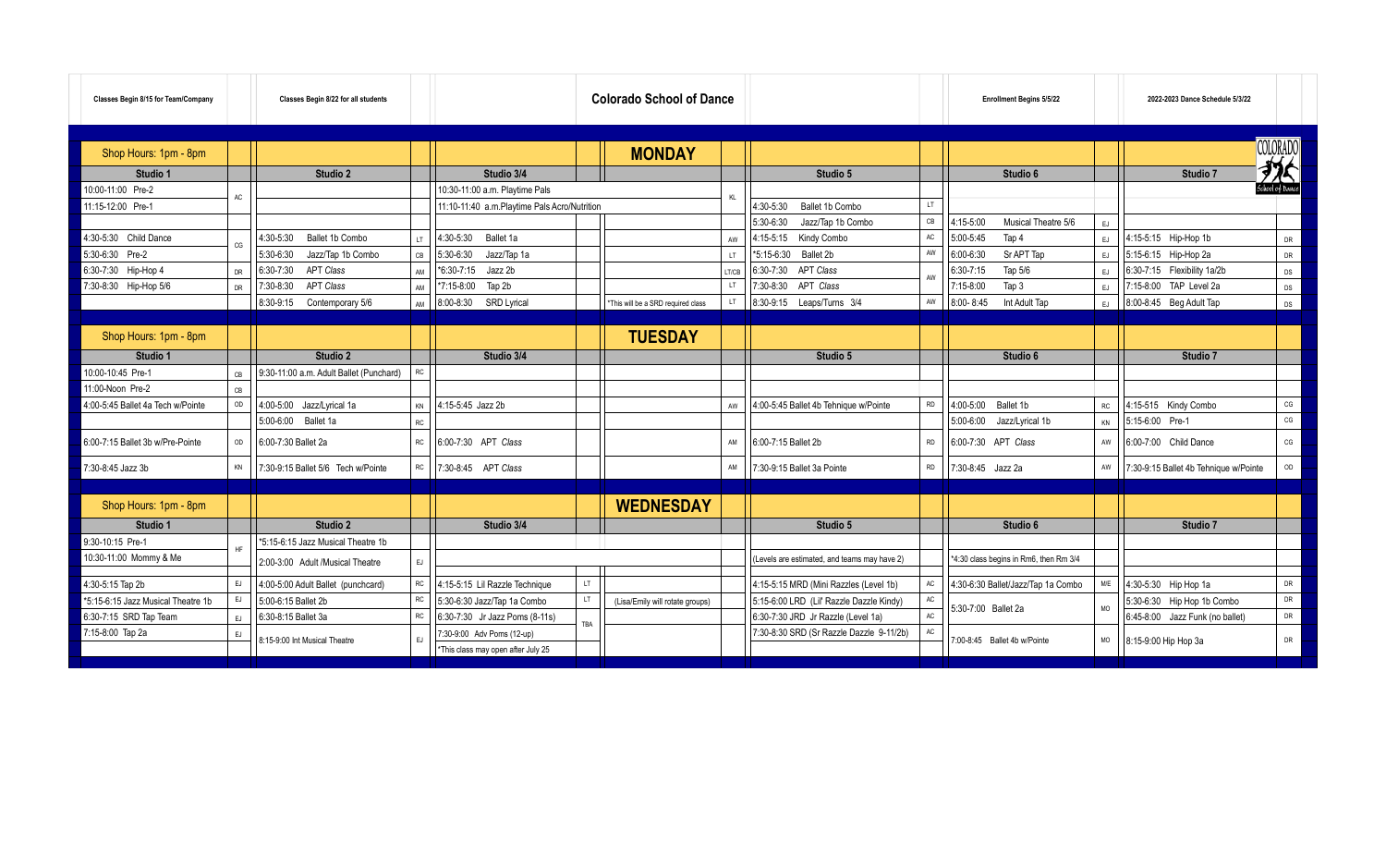| Classes Begin 8/15 for Team/Company |           | Classes Begin 8/22 for all students     |           |                                              |     | <b>Colorado School of Dance</b>    |                |                                              |           | <b>Enrollment Begins 5/5/22</b>        |           | 2022-2023 Dance Schedule 5/3/22       |                 |
|-------------------------------------|-----------|-----------------------------------------|-----------|----------------------------------------------|-----|------------------------------------|----------------|----------------------------------------------|-----------|----------------------------------------|-----------|---------------------------------------|-----------------|
| Shop Hours: 1pm - 8pm               |           |                                         |           |                                              |     | <b>MONDAY</b>                      |                |                                              |           |                                        |           |                                       | COLORADO<br>がく  |
| Studio 1                            |           | Studio 2                                |           | Studio 3/4                                   |     |                                    |                | Studio 5                                     |           | Studio 6                               |           | Studio 7                              |                 |
| 0:00-11:00 Pre-2                    | AC        |                                         |           | 10:30-11:00 a.m. Playtime Pals               |     |                                    |                |                                              |           |                                        |           |                                       | School of Dance |
| 11:15-12:00 Pre-1                   |           |                                         |           | 11:10-11:40 a.m.Playtime Pals Acro/Nutrition |     |                                    |                | 4:30-5:30<br>Ballet 1b Combo                 | LT.       |                                        |           |                                       |                 |
|                                     |           |                                         |           |                                              |     |                                    |                | 5:30-6:30<br>Jazz/Tap 1b Combo               | CB        | 4:15-5:00<br>Musical Theatre 5/6       | EJ        |                                       |                 |
| 1:30-5:30 Child Dance               | C.G       | Ballet 1b Combo<br>4:30-5:30            | IT.       | 4:30-5:30<br>Ballet 1a                       |     |                                    | AW             | 4:15-5:15<br>Kindy Combo                     | AC        | 5:00-5:45<br>Tap 4                     | EJ        | 4:15-5:15 Hip-Hop 1b                  | DR              |
| 5:30-6:30 Pre-2                     |           | 5:30-6:30<br>Jazz/Tap 1b Combo          | ĊВ        | 5:30-6:30<br>Jazz/Tap 1a                     |     |                                    | $\overline{1}$ | *5:15-6:30<br>Ballet 2b                      | AW        | Sr APT Tap<br>$6:00 - 6:30$            | EJ        | 5:15-6:15 Hip-Hop 2a                  | DR              |
| 6:30-7:30 Hip-Hop 4                 | <b>DR</b> | 6:30-7:30<br><b>APT Class</b>           | ΔM        | *6:30-7:15<br>Jazz 2b                        |     |                                    | LT/CB          | <b>APT Class</b><br>6:30-7:30                |           | 6:30-7:15<br>Tap 5/6                   | EJ        | 6:30-7:15 Flexibility 1a/2b           | DS              |
| 7:30-8:30 Hip-Hop 5/6               | DR        | <b>APT Class</b><br>7:30-8:30           | AM        | Tap 2b<br>*7:15-8:00                         |     |                                    | LT.            | APT Class<br>7:30-8:30                       |           | Tap 3<br>7:15-8:00                     | EJ        | 7:15-8:00 TAP Level 2a                | DS              |
|                                     |           | 8:30-9:15<br>Contemporary 5/6           | AM        | $8:00 - 8:30$<br>SRD Lyrical                 |     | *This will be a SRD required class | LT             | 8:30-9:15    Leaps/Turns    3/4              | AW        | 8:00-8:45<br>Int Adult Tap             | EJ.       | 8:00-8:45 Beg Adult Tap               | DS              |
|                                     |           |                                         |           |                                              |     |                                    |                |                                              |           |                                        |           |                                       |                 |
| Shop Hours: 1pm - 8pm               |           |                                         |           |                                              |     | <b>TUESDAY</b>                     |                |                                              |           |                                        |           |                                       |                 |
| Studio 1                            |           | Studio 2                                |           | Studio 3/4                                   |     |                                    |                | Studio 5                                     |           | Studio 6                               |           | Studio 7                              |                 |
| 10:00-10:45 Pre-1                   | CB        | 9:30-11:00 a.m. Adult Ballet (Punchard) | RC        |                                              |     |                                    |                |                                              |           |                                        |           |                                       |                 |
| 1:00-Noon Pre-2                     | CB        |                                         |           |                                              |     |                                    |                |                                              |           |                                        |           |                                       |                 |
| 4:00-5:45 Ballet 4a Tech w/Pointe   | OD        | 4:00-5:00 Jazz/Lyrical 1a               | KN        | 4:15-5:45 Jazz 2b                            |     |                                    | AW             | 4:00-5:45 Ballet 4b Tehnique w/Pointe        | <b>RD</b> | $4:00 - 5:00$<br>Ballet 1b             | RC        | 4:15-515 Kindy Combo                  | $CG$            |
|                                     |           | 5:00-6:00 Ballet 1a                     | RC        |                                              |     |                                    |                |                                              |           | 5:00-6:00<br>Jazz/Lyrical 1b           | KN        | 5:15-6:00 Pre-1                       | CG              |
| 6:00-7:15 Ballet 3b w/Pre-Pointe    | OD        | 6:00-7:30 Ballet 2a                     | КC        | 6:00-7:30 APT Class                          |     |                                    | AM             | 6:00-7:15 Ballet 2b                          | <b>RD</b> | 6:00-7:30 APT Class                    | AW        | 6:00-7:00 Child Dance                 | CG              |
| 7:30-8:45 Jazz 3b                   | KN        | 7:30-9:15 Ballet 5/6 Tech w/Pointe      | RC        | 7:30-8:45 APT Class                          |     |                                    | AM             | 7:30-9:15 Ballet 3a Pointe                   | <b>RD</b> | 7:30-8:45 Jazz 2a                      | AW        | 7:30-9:15 Ballet 4b Tehnique w/Pointe | OD              |
|                                     |           |                                         |           |                                              |     |                                    |                |                                              |           |                                        |           |                                       |                 |
| Shop Hours: 1pm - 8pm               |           |                                         |           |                                              |     | <b>WEDNESDAY</b>                   |                |                                              |           |                                        |           |                                       |                 |
| Studio 1                            |           | Studio 2                                |           | Studio 3/4                                   |     |                                    |                | Studio 5                                     |           | Studio 6                               |           | Studio 7                              |                 |
| 9:30-10:15 Pre-1                    |           | *5:15-6:15 Jazz Musical Theatre 1b      |           |                                              |     |                                    |                |                                              |           |                                        |           |                                       |                 |
| 10:30-11:00 Mommy & Me              |           | 2:00-3:00 Adult /Musical Theatre        | EJ        |                                              |     |                                    |                | (Levels are estimated, and teams may have 2) |           | *4:30 class begins in Rm6, then Rm 3/4 |           |                                       |                 |
|                                     | EJ        |                                         | RC        |                                              | LT. |                                    |                |                                              | AC        |                                        | M/E       |                                       | DR              |
| 1:30-5:15 Tap 2b                    | EJ        | 4:00-5:00 Adult Ballet (punchcard)      | RC.       | 4:15-5:15 Lil Razzle Technique               | LT  |                                    |                | 4:15-5:15 MRD (Mini Razzles (Level 1b)       | AC        | 4:30-6:30 Ballet/Jazz/Tap 1a Combo     |           | 4:30-5:30 Hip Hop 1a                  | DR              |
| 5:15-6:15 Jazz Musical Theatre 1b   |           | 5:00-6:15 Ballet 2b                     | <b>RC</b> | 5:30-6:30 Jazz/Tap 1a Combo                  |     | (Lisa/Emily will rotate groups)    |                | 5:15-6:00 LRD (Lil' Razzle Dazzle Kindy)     | AC        | 5:30-7:00 Ballet 2a                    | <b>MO</b> | 5:30-6:30 Hip Hop 1b Combo            | DR              |
| 6:30-7:15 SRD Tap Team              | EJ        | 6:30-8:15 Ballet 3a                     |           | 6:30-7:30 Jr Jazz Poms (8-11s)               | TBA |                                    |                | 6:30-7:30 JRD Jr Razzle (Level 1a)           |           |                                        |           | 6:45-8:00 Jazz Funk (no ballet)       |                 |
| 7:15-8:00 Tap 2a                    | EJ.       | 8:15-9:00 Int Musical Theatre           |           | 7:30-9:00 Adv Poms (12-up)                   |     |                                    |                | 7:30-8:30 SRD (Sr Razzle Dazzle 9-11/2b)     | AC        | 7:00-8:45 Ballet 4b w/Pointe           | MO        | 8:15-9:00 Hip Hop 3a                  | DR              |
|                                     |           |                                         |           | *This class may open after July 25           |     |                                    |                |                                              |           |                                        |           |                                       |                 |